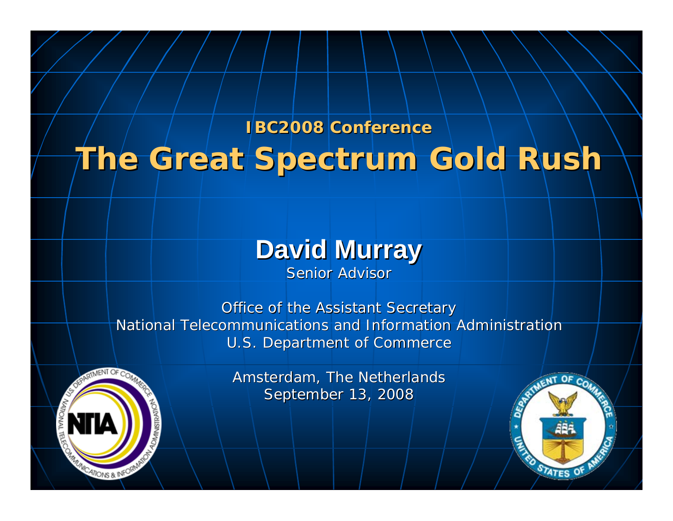**IBC2008 Conference IBC2008 Conference**

# **The Great Spectrum Gold Rush The Great Spectrum Gold Rush**

# **David Murray David Murray**

Senior Advisor

Office of the Assistant Secretary National Telecommunications and Information Administration U.S. Department of Commerce



Amsterdam, The Netherlands September 13, 2008

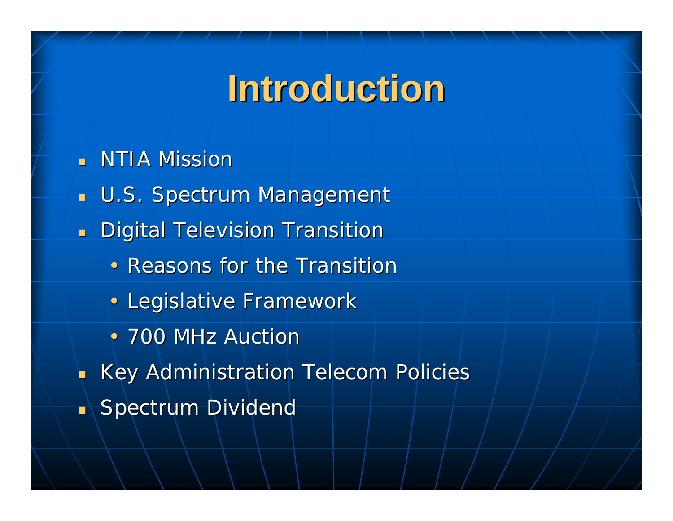# **Introduction Introduction**

- ń. **NTIA Mission**
- $\blacksquare$ U.S. Spectrum Management
- $\blacksquare$ Digital Television Transition
	- Reasons for the Transition
	- Legislative Framework
	- 700 MHz Auction
- È Key Administration Telecom Policies  $\mathbb{R}^2$ **Spectrum Dividend**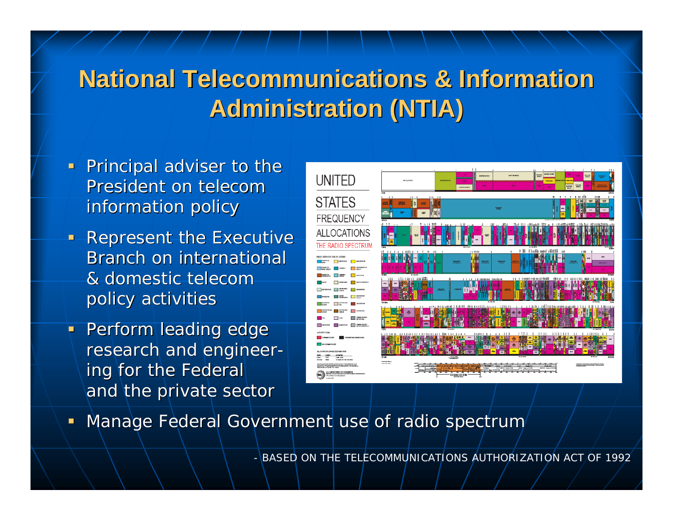## **National Telecommunications & Information Administration (NTIA) Administration (NTIA)**

- **Principal adviser to the** President on telecominformation policy
- $\blacksquare$ **Represent the Executive** Branch on international & domestic telecompolicy activities
- $\blacksquare$ Perform leading edge research and engineer ing for the Federal and the private sector



Manage Federal Government use of radio spectrum

- BASED ON THE TELECOMMUNICATIONS AUTHORIZATION ACT OF 1992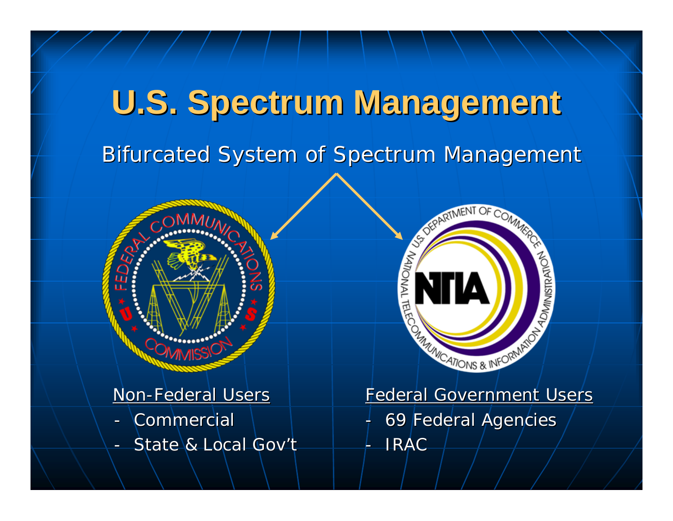# **U.S. Spectrum Management U.S. Spectrum Management**

[Bifurcated System of Spectrum Management](http://upload.wikimedia.org/wikipedia/commons/b/bf/US-FCC-Seal.svg)



#### Non-Federal Users

- Commercial
- State & Local Gov't



 69 Federal Agencies 69 Federal Agencies IRAC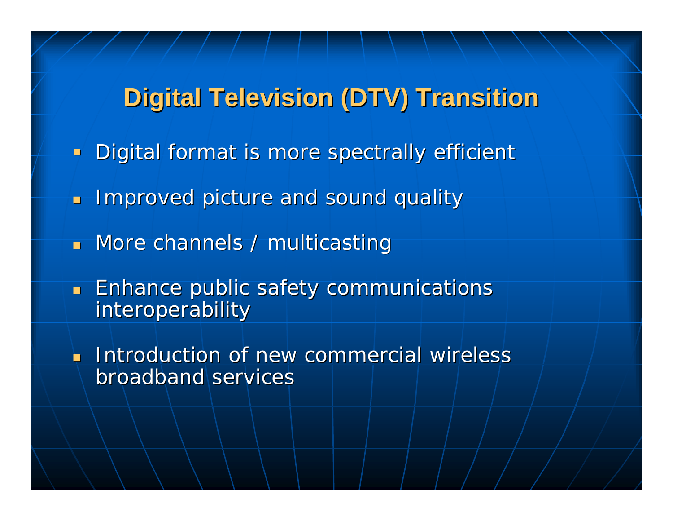### **Digital Television (DTV) Transition Digital Television (DTV) Transition**

- **Digital format is more spectrally efficient**
- **IMproved picture and sound quality**
- $\blacksquare$  More channels / multicasting
- $\blacksquare$  Enhance public safety communications interoperability

**Introduction of new commercial wireless** broadband services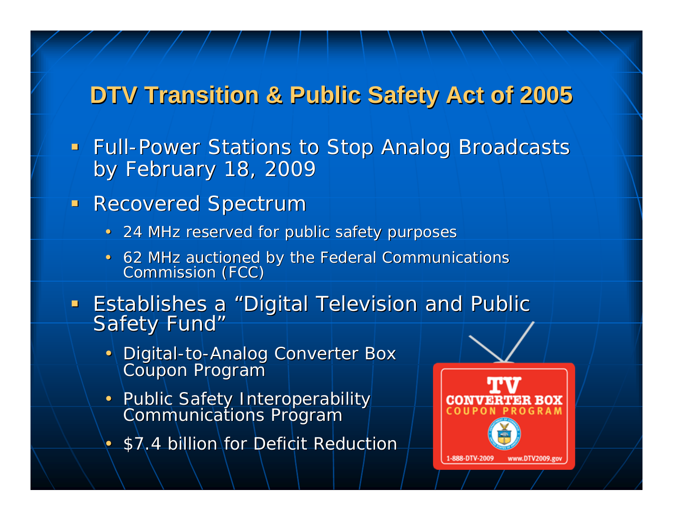### **DTV Transition & Public Safety Act of 2005 DTV Transition & Public Safety Act of 2005**

- **Full-Power Stations to Stop Analog Broadcasts** by February 18, 2009
- **Recovered Spectrum** 
	- 24 MHz reserved for public safety purposes
	- 62 MHz auctioned by the Federal Communications 62 MHz auctioned by the Federal Communications
- **Establishes a** Establishes a "Digital Television and Public<br>Safety Fund" "
	- Digital-to-Analog Converter Box Coupon Program
	- Public Safety Interoperability Communications Program
	- •\$7.4 billion for Deficit Reduction

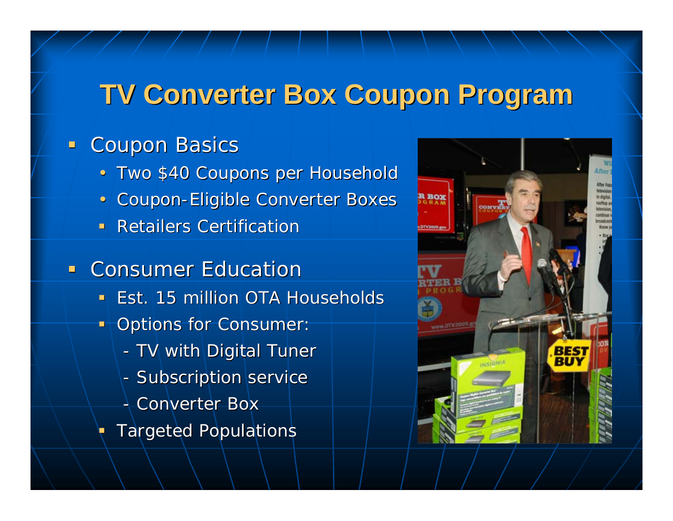## **TV Converter Box Coupon Program TV Converter Box Coupon Program**

#### **E Coupon Basics**

- **b** Two \$40 Coupons per Household
- Coupon-Eligible Converter Boxes
- $\blacksquare$ **Retailers Certification**

#### **Example Consumer Education**

- **Est. 15 million OTA Households**
- Options for Consumer:
	- TV with Digital Tuner
	- Subscription service
	- + Converter Box
- **Targeted Populations**

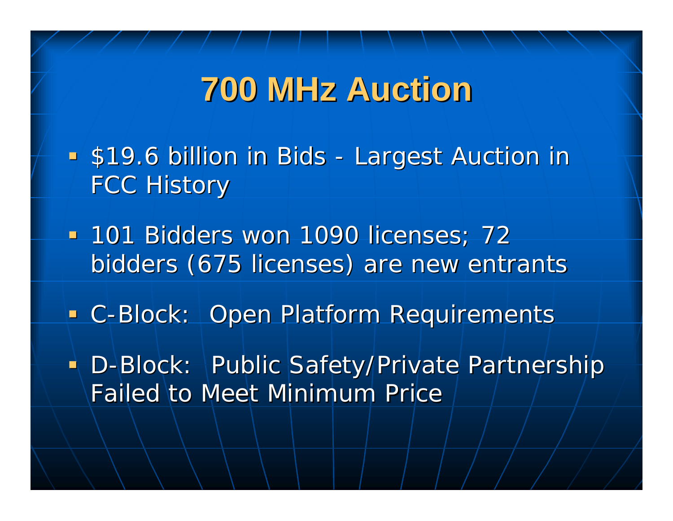# **700 MHz Auction 700 MHz Auction**

**519.6 billion in Bids** -- Largest Auction in **FCC History** 

**101 Bidders won 1090 licenses; 72** bidders (675 licenses) are new entrants bidders (675 licenses) are new entrants

**- C-Block: Open Platform Requirements** 

• D-Block: Public Safety/Private Partnership Failed to Meet Minimum Price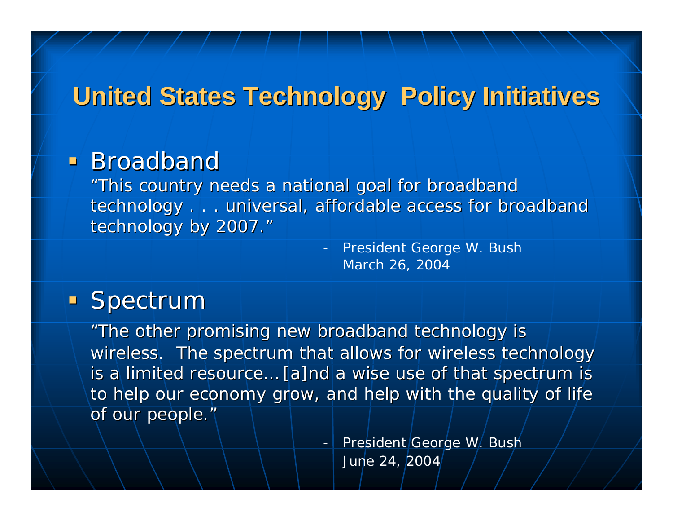## **United States Technology Policy Initiatives**

### **Broadband**

*"This country needs a national goal for broadband This country needs a national goal for broadband technology . . . universal, affordable access for broadband technology . . . universal, affordable access for broadband technology by 2007. technology by 2007. "*

> President George W. Bush March 26, 2004

### **Spectrum**

*"The other promising new broadband technology is The other promising new broadband technology is*  wireless. The spectrum that allows for wireless technology *is a limited resource... [a]nd a wise use of that spectrum is to help our economy grow, and help with the quality of life of our people. of our people. "*

> President George W. Bush June 24, 2004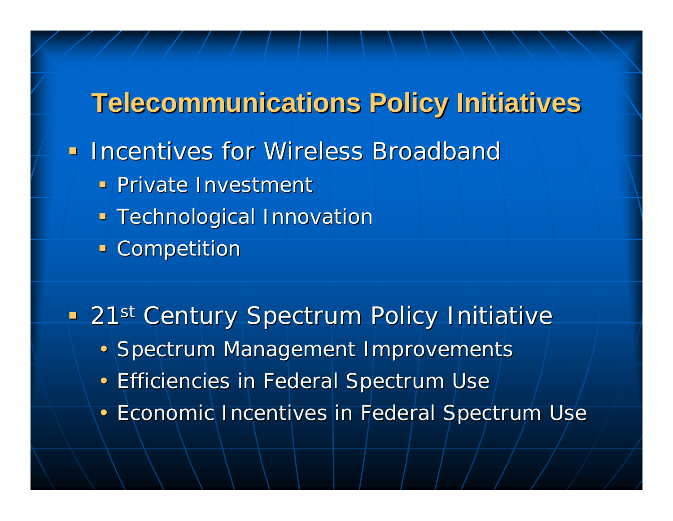**Telecommunications Policy Initiatives Telecommunications Policy Initiatives Incentives for Wireless Broadband Private Investment Technological Innovation Competition** 

**21st Century Spectrum Policy Initiative** Century Spectrum Policy Initiative

- Spectrum Management Improvements
- Efficiencies in Federal Spectrum Use
- Economic Incentives in Federal Spectrum Use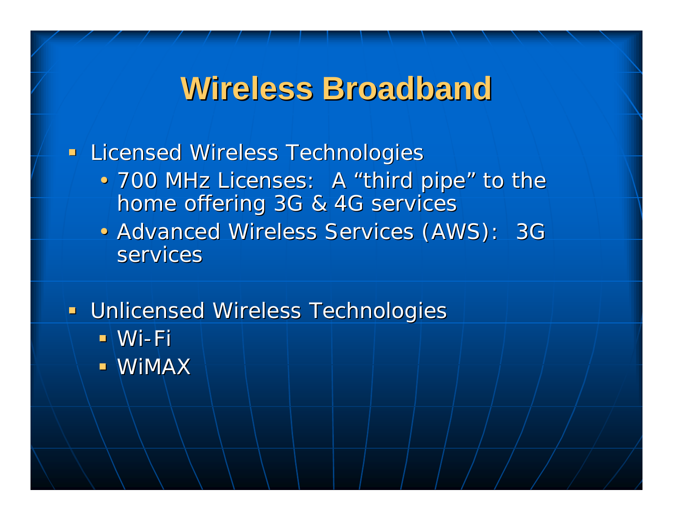## **Wireless Broadband Wireless Broadband**

**Licensed Wireless Technologies** 

- 700 MHz Licenses: A "third pipe" to the home offering 3G & 4G services
- Advanced Wireless Services (AWS): 3G services
- **Unlicensed Wireless Technologies**  $\blacksquare$  Wi-Fi **NIMAX**